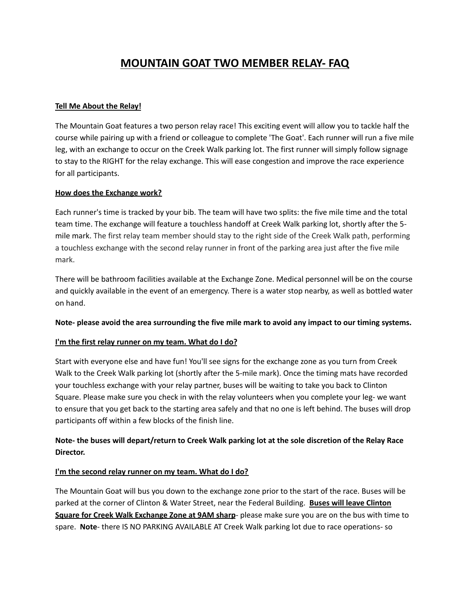# **MOUNTAIN GOAT TWO MEMBER RELAY- FAQ**

#### **Tell Me About the Relay!**

The Mountain Goat features a two person relay race! This exciting event will allow you to tackle half the course while pairing up with a friend or colleague to complete 'The Goat'. Each runner will run a five mile leg, with an exchange to occur on the Creek Walk parking lot. The first runner will simply follow signage to stay to the RIGHT for the relay exchange. This will ease congestion and improve the race experience for all participants.

#### **How does the Exchange work?**

Each runner's time is tracked by your bib. The team will have two splits: the five mile time and the total team time. The exchange will feature a touchless handoff at Creek Walk parking lot, shortly after the 5 mile mark. The first relay team member should stay to the right side of the Creek Walk path, performing a touchless exchange with the second relay runner in front of the parking area just after the five mile mark.

There will be bathroom facilities available at the Exchange Zone. Medical personnel will be on the course and quickly available in the event of an emergency. There is a water stop nearby, as well as bottled water on hand.

#### Note- please avoid the area surrounding the five mile mark to avoid any impact to our timing systems.

#### **I'm the first relay runner on my team. What do I do?**

Start with everyone else and have fun! You'll see signs for the exchange zone as you turn from Creek Walk to the Creek Walk parking lot (shortly after the 5-mile mark). Once the timing mats have recorded your touchless exchange with your relay partner, buses will be waiting to take you back to Clinton Square. Please make sure you check in with the relay volunteers when you complete your leg- we want to ensure that you get back to the starting area safely and that no one is left behind. The buses will drop participants off within a few blocks of the finish line.

# Note- the buses will depart/return to Creek Walk parking lot at the sole discretion of the Relay Race **Director.**

#### **I'm the second relay runner on my team. What do I do?**

The Mountain Goat will bus you down to the exchange zone prior to the start of the race. Buses will be parked at the corner of Clinton & Water Street, near the Federal Building. **Buses will leave Clinton Square for Creek Walk Exchange Zone at 9AM sharp**- please make sure you are on the bus with time to spare. **Note**- there IS NO PARKING AVAILABLE AT Creek Walk parking lot due to race operations- so